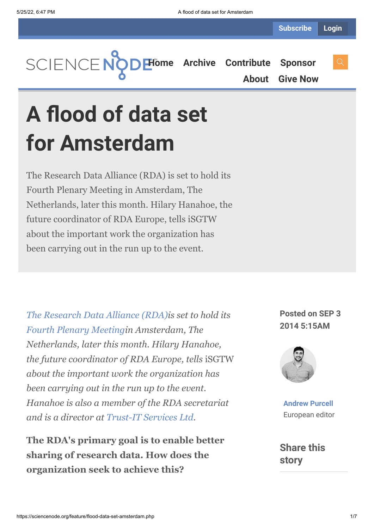**[Home](https://sciencenode.org/) [Archive](https://sciencenode.org/archive/index.php) [Contribute](https://sciencenode.org/contribute/index.php) [Sponsor](https://sciencenode.org/sponsor/index.php)**

**[About](https://sciencenode.org/about/index.php) [Give Now](https://sciencenode.org/donate/index.php)**

**A flood of data set for Amsterdam**

The Research Data Alliance (RDA) is set to hold its Fourth Plenary Meeting in Amsterdam, The Netherlands, later this month. Hilary Hanahoe, the future coordinator of RDA Europe, tells iSGTW about the important work the organization has been carrying out in the run up to the event.

*[The Research Data Alliance \(RDA\)](https://rd-alliance.org/)is set to hold its [Fourth Plenary Meeting](https://www.rd-alliance.org/rda-fourth-plenary-meeting.html)in Amsterdam, The Netherlands, later this month. Hilary Hanahoe, the future coordinator of RDA Europe, tells* iSGTW *about the important work the organization has been carrying out in the run up to the event. Hanahoe is also a member of the RDA secretariat and is a director at [Trust-IT Services Ltd.](http://www.trust-itservices.com/)*

**The RDA's primary goal is to enable better sharing of research data. How does the organization seek to achieve this?**

**Posted on SEP 3 2014 5:15AM**



**[Andrew Purcell](https://sciencenode.org/author/andrew-purcell.php)** European editor

**Share this story**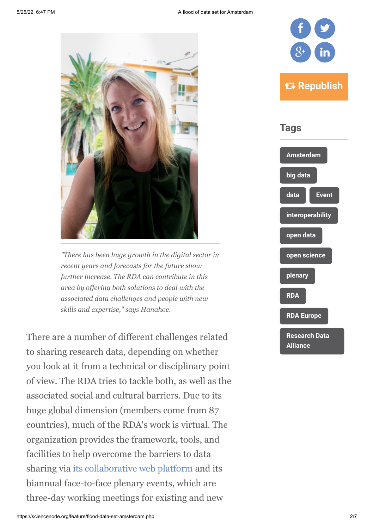

*"There has been huge growth in the digital sector in recent years and forecasts for the future show further increase. The RDA can contribute in this area by offering both solutions to deal with the associated data challenges and people with new skills and expertise," says Hanahoe.*

There are a number of different challenges related to sharing research data, depending on whether you look at it from a technical or disciplinary point of view. The RDA tries to tackle both, as well as the associated social and cultural barriers. Due to its huge global dimension (members come from 87 countries), much of the RDA's work is virtual. The organization provides the framework, tools, and facilities to help overcome the barriers to data sharing via [its collaborative web platform](http://www.rd-alliance.org/) and its biannual face-to-face plenary events, which are three-day working meetings for existing and new



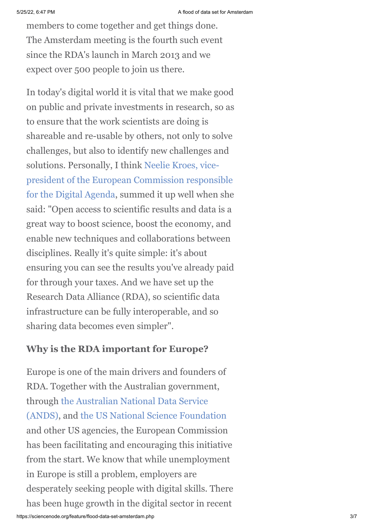members to come together and get things done. The Amsterdam meeting is the fourth such event since the RDA's launch in March 2013 and we expect over 500 people to join us there.

In today's digital world it is vital that we make good on public and private investments in research, so as to ensure that the work scientists are doing is shareable and re-usable by others, not only to solve challenges, but also to identify new challenges and solutions. Personally, I think Neelie Kroes, vicepresident of the European Commission responsible [for the Digital Agenda, summed it up well when she](http://europa.eu/rapid/press-release_SPEECH-13-450_en.htm) said: "Open access to scientific results and data is a great way to boost science, boost the economy, and enable new techniques and collaborations between disciplines. Really it's quite simple: it's about ensuring you can see the results you've already paid for through your taxes. And we have set up the Research Data Alliance (RDA), so scientific data infrastructure can be fully interoperable, and so sharing data becomes even simpler".

#### **Why is the RDA important for Europe?**

Europe is one of the main drivers and founders of RDA. Together with the Australian government, through the Australian National Data Service [\(ANDS\), and the US National Science Found](http://www.ands.org.au/)[ation](http://www.nsf.gov/) and other US agencies, the European Commission has been facilitating and encouraging this initiative from the start. We know that while unemployment in Europe is still a problem, employers are desperately seeking people with digital skills. There has been huge growth in the digital sector in recent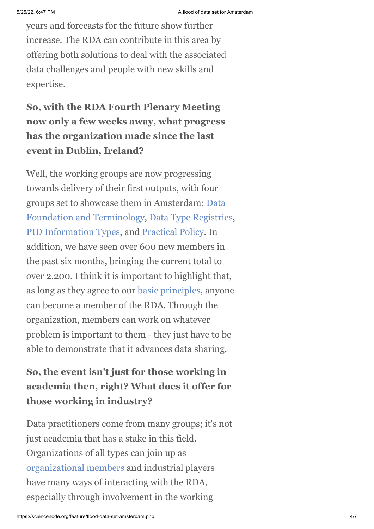years and forecasts for the future show further increase. The RDA can contribute in this area by offering both solutions to deal with the associated data challenges and people with new skills and expertise.

# **So, with the RDA Fourth Plenary Meeting now only a few weeks away, what progress has the organization made since the last event in Dublin, Ireland?**

Well, the working groups are now progressing towards delivery of their first outputs, with four [groups set to showcase them in Amsterdam: Data](https://www.rd-alliance.org/group/data-foundation-and-terminology-wg.html) Foundation and Terminology, [Data Type Registries,](https://www.rd-alliance.org/group/data-type-registries-wg.html) [PID Information Types,](https://www.rd-alliance.org/group/pid-information-types-wg.html) and [Practical Policy.](https://www.rd-alliance.org/group/practical-policy-wg.html) In addition, we have seen over 600 new members in the past six months, bringing the current total to over 2,200. I think it is important to highlight that, as long as they agree to our [basic principles](https://www.rd-alliance.org/get-involved.html), anyone can become a member of the RDA. Through the organization, members can work on whatever problem is important to them - they just have to be able to demonstrate that it advances data sharing.

## **So, the event isn't just for those working in academia then, right? What does it offer for those working in industry?**

Data practitioners come from many groups; it's not just academia that has a stake in this field. Organizations of all types can join up as [organizational members](https://www.rd-alliance.org/organisation/rda-organisation-affiliate-members.html) and industrial players have many ways of interacting with the RDA, especially through involvement in the working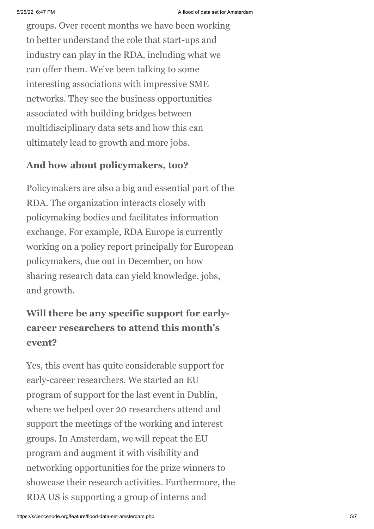groups. Over recent months we have been working to better understand the role that start-ups and industry can play in the RDA, including what we can offer them. We've been talking to some interesting associations with impressive SME networks. They see the business opportunities associated with building bridges between multidisciplinary data sets and how this can ultimately lead to growth and more jobs.

### **And how about policymakers, too?**

Policymakers are also a big and essential part of the RDA. The organization interacts closely with policymaking bodies and facilitates information exchange. For example, RDA Europe is currently working on a policy report principally for European policymakers, due out in December, on how sharing research data can yield knowledge, jobs, and growth.

## **Will there be any specific support for earlycareer researchers to attend this month's event?**

Yes, this event has quite considerable support for early-career researchers. We started an EU program of support for the last event in Dublin, where we helped over 20 researchers attend and support the meetings of the working and interest groups. In Amsterdam, we will repeat the EU program and augment it with visibility and networking opportunities for the prize winners to showcase their research activities. Furthermore, the RDA US is supporting a group of interns and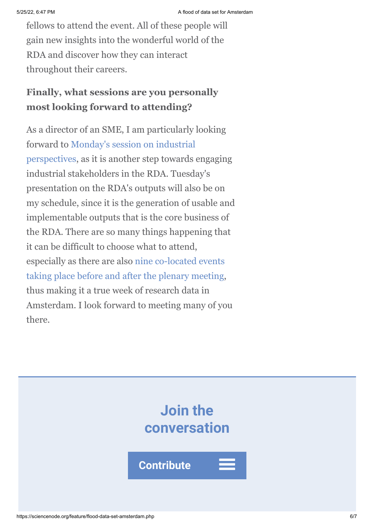fellows to attend the event. All of these people will gain new insights into the wonderful world of the RDA and discover how they can interact throughout their careers.

## **Finally, what sessions are you personally most looking forward to attending?**

As a director of an SME, I am particularly looking forward to Monday's session on industrial [perspectives, as it is another step towards](https://rd-alliance.org/plenary-4-science-stream-sessions.html) engaging industrial stakeholders in the RDA. Tuesday's presentation on the RDA's outputs will also be on my schedule, since it is the generation of usable and implementable outputs that is the core business of the RDA. There are so many things happening that it can be difficult to choose what to attend, [especially as there are also nine co-located events](https://www.rd-alliance.org/plenary-meetings/fourth-plenary/plenary4-colocated-events.html) taking place before and after the plenary meeting, thus making it a true week of research data in Amsterdam. I look forward to meeting many of you there.